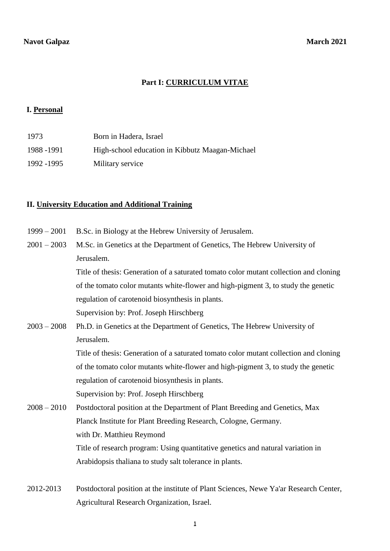## **Part I: CURRICULUM VITAE**

### **I. Personal**

| 1973        | Born in Hadera, Israel                          |
|-------------|-------------------------------------------------|
| 1988 - 1991 | High-school education in Kibbutz Maagan-Michael |
| 1992 -1995  | Military service                                |

## **II. University Education and Additional Training**

- 1999 2001 B.Sc. in Biology at the Hebrew University of Jerusalem.
- 2001 2003 M.Sc. in Genetics at the Department of Genetics, The Hebrew University of Jerusalem.

Title of thesis: Generation of a saturated tomato color mutant collection and cloning of the tomato color mutants white-flower and high-pigment 3, to study the genetic regulation of carotenoid biosynthesis in plants. Supervision by: Prof. Joseph Hirschberg

2003 – 2008 Ph.D. in Genetics at the Department of Genetics, The Hebrew University of Jerusalem. Title of thesis: Generation of a saturated tomato color mutant collection and cloning

> of the tomato color mutants white-flower and high-pigment 3, to study the genetic regulation of carotenoid biosynthesis in plants. Supervision by: Prof. Joseph Hirschberg

- 2008 2010 Postdoctoral position at the Department of Plant Breeding and Genetics, Max Planck Institute for Plant Breeding Research, Cologne, Germany. with Dr. Matthieu Reymond Title of research program: Using quantitative genetics and natural variation in Arabidopsis thaliana to study salt tolerance in plants.
- 2012-2013 Postdoctoral position at the institute of Plant Sciences, Newe Ya'ar Research Center, Agricultural Research Organization, Israel.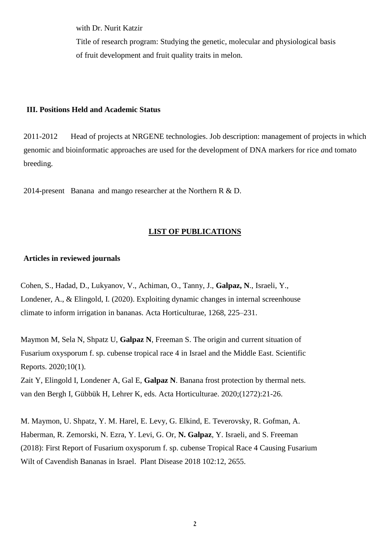with Dr. Nurit Katzir

Title of research program: Studying the genetic, molecular and physiological basis of fruit development and fruit quality traits in melon.

#### **III. Positions Held and Academic Status**

2011-2012 Head of projects at NRGENE technologies. Job description: management of projects in which genomic and bioinformatic approaches are used for the development of DNA markers for rice *a*nd tomato breeding.

2014-present Banana and mango researcher at the Northern R & D.

## **LIST OF PUBLICATIONS**

### **Articles in reviewed journals**

Cohen, S., Hadad, D., Lukyanov, V., Achiman, O., Tanny, J., **Galpaz, N**., Israeli, Y., Londener, A., & Elingold, I. (2020). Exploiting dynamic changes in internal screenhouse climate to inform irrigation in bananas. Acta Horticulturae, 1268, 225–231.

Maymon M, Sela N, Shpatz U, **Galpaz N**, Freeman S. The origin and current situation of Fusarium oxysporum f. sp. cubense tropical race 4 in Israel and the Middle East. Scientific Reports. 2020;10(1).

Zait Y, Elingold I, Londener A, Gal E, **Galpaz N**. Banana frost protection by thermal nets. van den Bergh I, Gübbük H, Lehrer K, eds. Acta Horticulturae. 2020;(1272):21-26.

M. Maymon, U. Shpatz, Y. M. Harel, E. Levy, G. Elkind, E. Teverovsky, R. Gofman, A. Haberman, R. Zemorski, N. Ezra, Y. Levi, G. Or, **N. Galpaz**, Y. Israeli, and S. Freeman (2018): [First Report of Fusarium oxysporum f. sp. cubense Tropical Race 4 Causing Fusarium](https://apsjournals.apsnet.org/doi/abs/10.1094/PDIS-05-18-0822-PDN)  [Wilt of Cavendish Bananas in Israel.](https://apsjournals.apsnet.org/doi/abs/10.1094/PDIS-05-18-0822-PDN) Plant Disease 2018 102:12, 2655.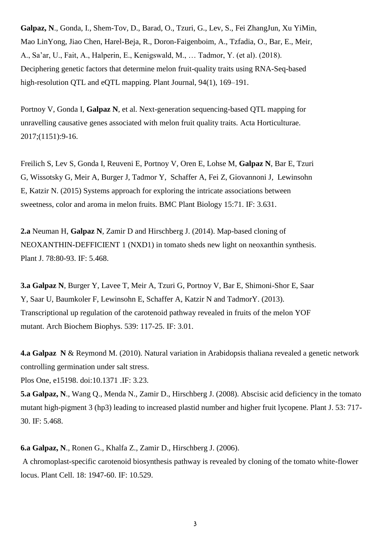**Galpaz, N**., Gonda, I., Shem-Tov, D., Barad, O., Tzuri, G., Lev, S., Fei ZhangJun, Xu YiMin, Mao LinYong, Jiao Chen, Harel-Beja, R., Doron-Faigenboim, A., Tzfadia, O., Bar, E., Meir, A., Sa'ar, U., Fait, A., Halperin, E., Kenigswald, M., … Tadmor, Y. (et al). (2018). Deciphering genetic factors that determine melon fruit-quality traits using RNA-Seq-based high-resolution QTL and eQTL mapping. Plant Journal, 94(1), 169–191.

Portnoy V, Gonda I, **Galpaz N**, et al. Next-generation sequencing-based QTL mapping for unravelling causative genes associated with melon fruit quality traits. Acta Horticulturae. 2017;(1151):9-16.

Freilich S, Lev S, Gonda I, Reuveni E, Portnoy V, Oren E, Lohse M, **Galpaz N**, Bar E, Tzuri G, Wissotsky G, Meir A, Burger J, Tadmor Y, Schaffer A, Fei Z, Giovannoni J, Lewinsohn E, Katzir N. (2015) Systems approach for exploring the intricate associations between sweetness, color and aroma in melon fruits. BMC Plant Biology 15:71. IF: 3.631.

**2.a** Neuman H, **Galpaz N**, Zamir D and Hirschberg J. (2014). Map-based cloning of NEOXANTHIN-DEFFICIENT 1 (NXD1) in tomato sheds new light on neoxanthin synthesis. Plant J. 78:80-93. IF: 5.468.

**3.a Galpaz N**, Burger Y, Lavee T, Meir A, Tzuri G, Portnoy V, Bar E, Shimoni-Shor E, Saar Y, Saar U, Baumkoler F, Lewinsohn E, Schaffer A, Katzir N and TadmorY. (2013). Transcriptional up regulation of the carotenoid pathway revealed in fruits of the melon YOF mutant. Arch Biochem Biophys. 539: 117-25. IF: 3.01.

**4.a Galpaz N** & Reymond M. (2010). Natural variation in Arabidopsis thaliana revealed a genetic network controlling germination under salt stress.

Plos One, e15198. doi:10.1371 .IF: 3.23.

**5.a Galpaz, N**., Wang Q., Menda N., Zamir D., Hirschberg J. (2008). Abscisic acid deficiency in the tomato mutant high-pigment 3 (hp3) leading to increased plastid number and higher fruit lycopene. Plant J. 53: 717- 30. IF: 5.468.

**6.a Galpaz, N**., Ronen G., Khalfa Z., Zamir D., Hirschberg J. (2006).

A chromoplast-specific carotenoid biosynthesis pathway is revealed by cloning of the tomato white-flower locus. Plant Cell. 18: 1947-60. IF: 10.529.